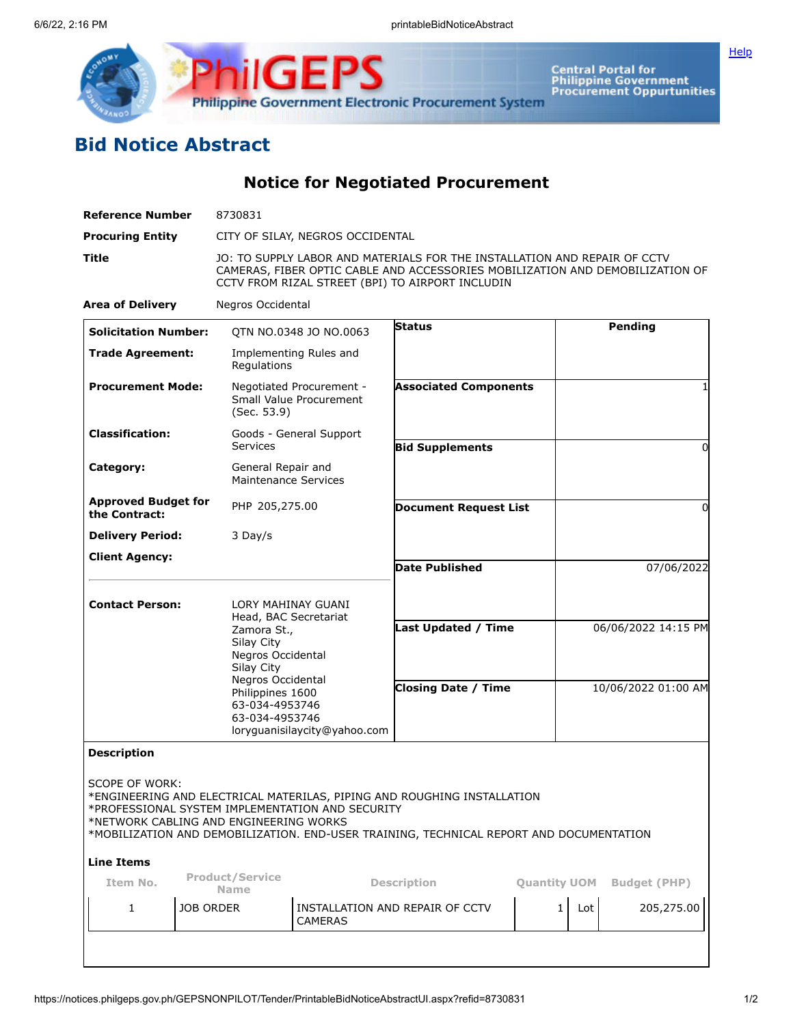

**Central Portal for<br>Philippine Government<br>Procurement Oppurtunities** 

## **Bid Notice Abstract**

**Notice for Negotiated Procurement**

**Philippine Government Electronic Procurement System** 

**ilGEPS** 

| <b>Reference Number</b>                                        | 8730831                                                                                    |                                                                                                                                                                                                                |                                                                                                                                                                    |                                            |                     |                     |  |
|----------------------------------------------------------------|--------------------------------------------------------------------------------------------|----------------------------------------------------------------------------------------------------------------------------------------------------------------------------------------------------------------|--------------------------------------------------------------------------------------------------------------------------------------------------------------------|--------------------------------------------|---------------------|---------------------|--|
| <b>Procuring Entity</b>                                        |                                                                                            | CITY OF SILAY, NEGROS OCCIDENTAL                                                                                                                                                                               |                                                                                                                                                                    |                                            |                     |                     |  |
| Title                                                          |                                                                                            | JO: TO SUPPLY LABOR AND MATERIALS FOR THE INSTALLATION AND REPAIR OF CCTV<br>CAMERAS, FIBER OPTIC CABLE AND ACCESSORIES MOBILIZATION AND DEMOBILIZATION OF<br>CCTV FROM RIZAL STREET (BPI) TO AIRPORT INCLUDIN |                                                                                                                                                                    |                                            |                     |                     |  |
| <b>Area of Delivery</b>                                        |                                                                                            | Negros Occidental                                                                                                                                                                                              |                                                                                                                                                                    |                                            |                     |                     |  |
| <b>Solicitation Number:</b>                                    |                                                                                            | QTN NO.0348 JO NO.0063                                                                                                                                                                                         | <b>Status</b>                                                                                                                                                      |                                            |                     | <b>Pending</b>      |  |
| <b>Trade Agreement:</b>                                        | Regulations                                                                                | Implementing Rules and                                                                                                                                                                                         |                                                                                                                                                                    |                                            |                     |                     |  |
| <b>Procurement Mode:</b><br>(Sec. 53.9)                        |                                                                                            | Negotiated Procurement -<br>Small Value Procurement                                                                                                                                                            | <b>Associated Components</b>                                                                                                                                       |                                            |                     |                     |  |
| <b>Classification:</b>                                         | <b>Services</b>                                                                            | Goods - General Support                                                                                                                                                                                        | <b>Bid Supplements</b>                                                                                                                                             |                                            |                     | 0                   |  |
| General Repair and<br>Category:<br><b>Maintenance Services</b> |                                                                                            |                                                                                                                                                                                                                |                                                                                                                                                                    |                                            |                     |                     |  |
| <b>Approved Budget for</b><br>PHP 205,275.00<br>the Contract:  |                                                                                            |                                                                                                                                                                                                                | <b>Document Request List</b>                                                                                                                                       |                                            |                     | 0                   |  |
| <b>Delivery Period:</b>                                        | 3 Day/s                                                                                    |                                                                                                                                                                                                                |                                                                                                                                                                    |                                            |                     |                     |  |
| <b>Client Agency:</b>                                          |                                                                                            |                                                                                                                                                                                                                | <b>Date Published</b>                                                                                                                                              |                                            | 07/06/2022          |                     |  |
| <b>Contact Person:</b>                                         | LORY MAHINAY GUANI                                                                         |                                                                                                                                                                                                                |                                                                                                                                                                    |                                            |                     |                     |  |
|                                                                | Head, BAC Secretariat<br>Zamora St.,<br>Silay City<br>Negros Occidental<br>Silay City      |                                                                                                                                                                                                                | <b>Last Updated / Time</b>                                                                                                                                         |                                            |                     | 06/06/2022 14:15 PM |  |
|                                                                | Negros Occidental<br>Philippines 1600<br>63-034-4953746<br>63-034-4953746                  | loryguanisilaycity@yahoo.com                                                                                                                                                                                   | <b>Closing Date / Time</b>                                                                                                                                         |                                            | 10/06/2022 01:00 AM |                     |  |
| <b>Description</b>                                             |                                                                                            |                                                                                                                                                                                                                |                                                                                                                                                                    |                                            |                     |                     |  |
| <b>SCOPE OF WORK:</b>                                          | *PROFESSIONAL SYSTEM IMPLEMENTATION AND SECURITY<br>*NETWORK CABLING AND ENGINEERING WORKS |                                                                                                                                                                                                                | *ENGINEERING AND ELECTRICAL MATERILAS, PIPING AND ROUGHING INSTALLATION<br>*MOBILIZATION AND DEMOBILIZATION. END-USER TRAINING, TECHNICAL REPORT AND DOCUMENTATION |                                            |                     |                     |  |
| <b>Line Items</b>                                              |                                                                                            |                                                                                                                                                                                                                |                                                                                                                                                                    |                                            |                     |                     |  |
| <b>Product/Service</b><br>Item No.<br><b>Name</b>              |                                                                                            | <b>Description</b>                                                                                                                                                                                             |                                                                                                                                                                    | <b>Quantity UOM</b><br><b>Budget (PHP)</b> |                     |                     |  |
| 1                                                              | <b>JOB ORDER</b>                                                                           | <b>CAMERAS</b>                                                                                                                                                                                                 | INSTALLATION AND REPAIR OF CCTV                                                                                                                                    | 1                                          | Lot                 | 205,275.00          |  |
|                                                                |                                                                                            |                                                                                                                                                                                                                |                                                                                                                                                                    |                                            |                     |                     |  |